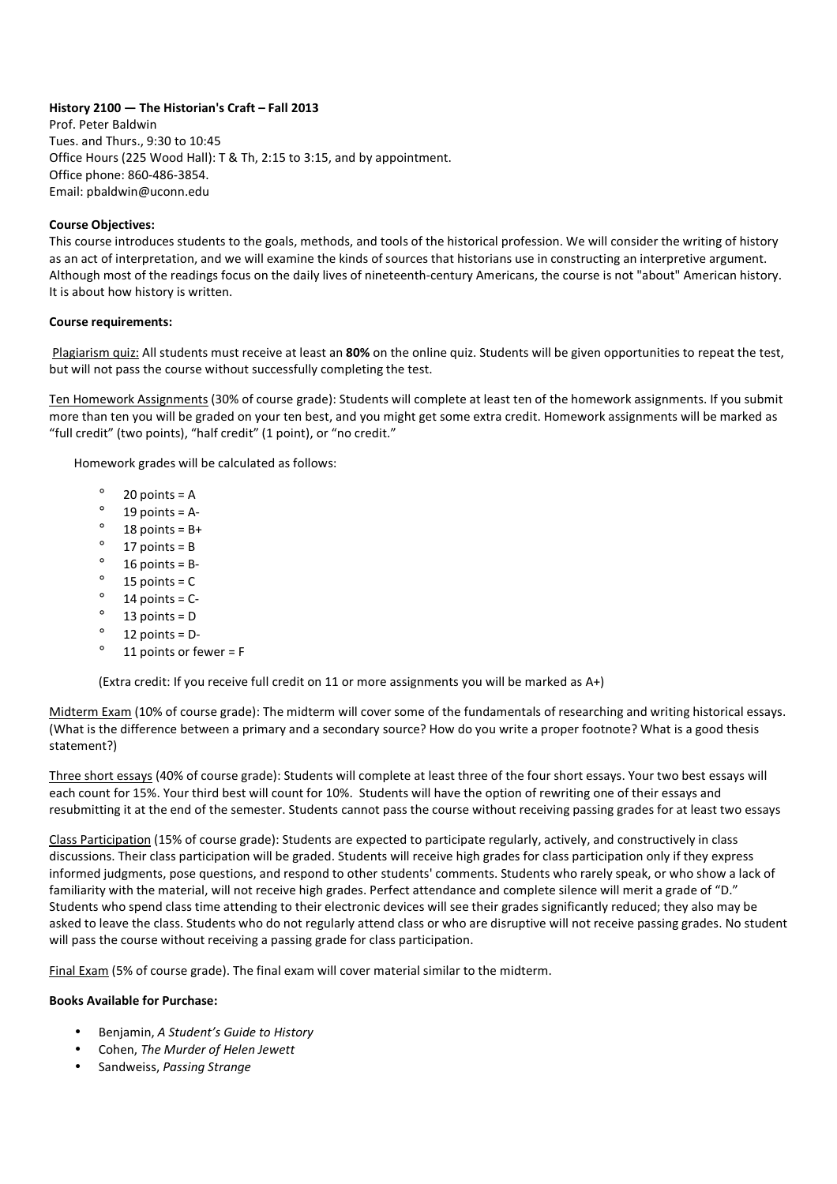# **History 2100 — The Historian's Craft – Fall 2013**

Prof. Peter Baldwin Tues. and Thurs., 9:30 to 10:45 Office Hours (225 Wood Hall): T & Th, 2:15 to 3:15, and by appointment. Office phone: 860-486-3854. Email: pbaldwin@uconn.edu

## **Course Objectives:**

This course introduces students to the goals, methods, and tools of the historical profession. We will consider the writing of history as an act of interpretation, and we will examine the kinds of sources that historians use in constructing an interpretive argument. Although most of the readings focus on the daily lives of nineteenth-century Americans, the course is not "about" American history. It is about how history is written.

## **Course requirements:**

 Plagiarism quiz: All students must receive at least an **80%** on the online quiz. Students will be given opportunities to repeat the test, but will not pass the course without successfully completing the test.

Ten Homework Assignments (30% of course grade): Students will complete at least ten of the homework assignments. If you submit more than ten you will be graded on your ten best, and you might get some extra credit. Homework assignments will be marked as "full credit" (two points), "half credit" (1 point), or "no credit."

Homework grades will be calculated as follows:

- $\degree$  20 points = A
- $^{\circ}$  19 points = A-
- $\degree$  18 points = B+
- $^{\circ}$  17 points = B
- $^{\circ}$  16 points = B-
- $\degree$  15 points = C
- $\degree$  14 points = C-
- $^{\circ}$  13 points = D
- $^{\circ}$  12 points = D-
- $^{\circ}$  11 points or fewer = F

(Extra credit: If you receive full credit on 11 or more assignments you will be marked as A+)

Midterm Exam (10% of course grade): The midterm will cover some of the fundamentals of researching and writing historical essays. (What is the difference between a primary and a secondary source? How do you write a proper footnote? What is a good thesis statement?)

Three short essays (40% of course grade): Students will complete at least three of the four short essays. Your two best essays will each count for 15%. Your third best will count for 10%. Students will have the option of rewriting one of their essays and resubmitting it at the end of the semester. Students cannot pass the course without receiving passing grades for at least two essays

Class Participation (15% of course grade): Students are expected to participate regularly, actively, and constructively in class discussions. Their class participation will be graded. Students will receive high grades for class participation only if they express informed judgments, pose questions, and respond to other students' comments. Students who rarely speak, or who show a lack of familiarity with the material, will not receive high grades. Perfect attendance and complete silence will merit a grade of "D." Students who spend class time attending to their electronic devices will see their grades significantly reduced; they also may be asked to leave the class. Students who do not regularly attend class or who are disruptive will not receive passing grades. No student will pass the course without receiving a passing grade for class participation.

Final Exam (5% of course grade). The final exam will cover material similar to the midterm.

### **Books Available for Purchase:**

- Benjamin, *A Student's Guide to History*
- Cohen, *The Murder of Helen Jewett*
- Sandweiss, *Passing Strange*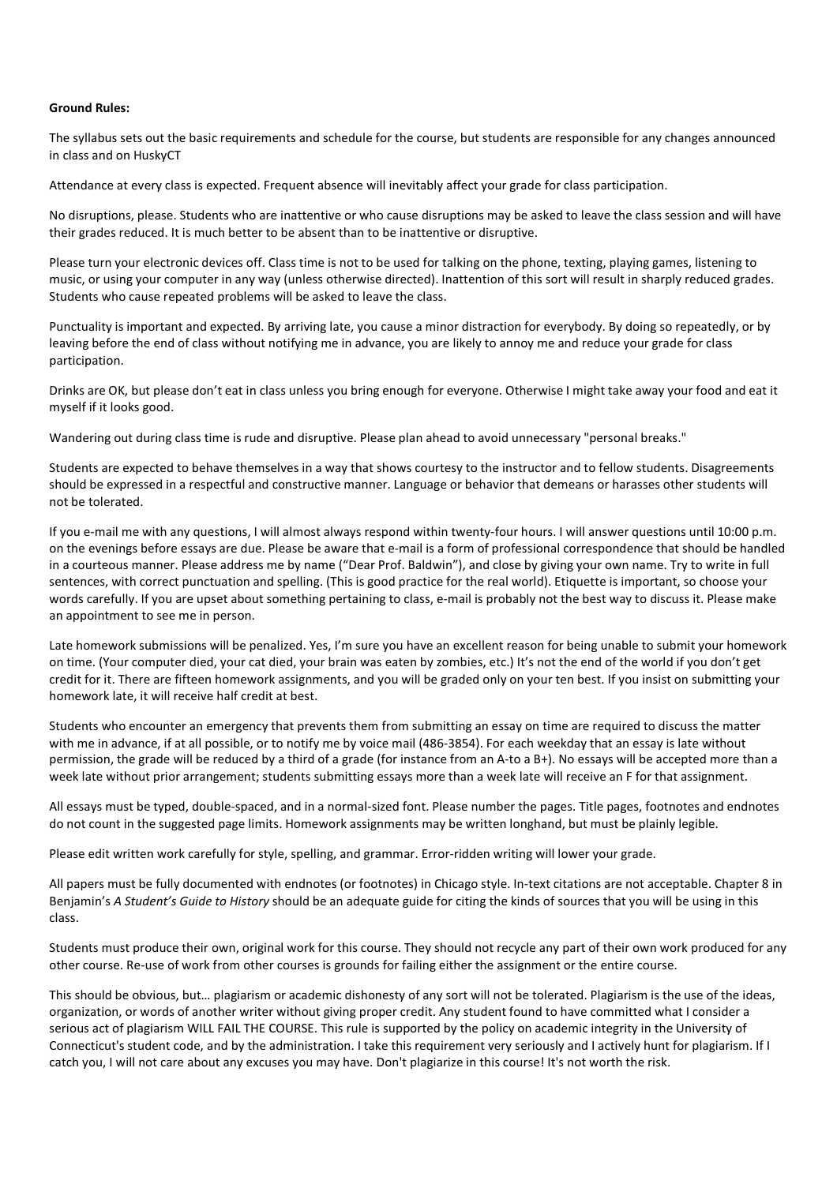#### **Ground Rules:**

The syllabus sets out the basic requirements and schedule for the course, but students are responsible for any changes announced in class and on HuskyCT

Attendance at every class is expected. Frequent absence will inevitably affect your grade for class participation.

No disruptions, please. Students who are inattentive or who cause disruptions may be asked to leave the class session and will have their grades reduced. It is much better to be absent than to be inattentive or disruptive.

Please turn your electronic devices off. Class time is not to be used for talking on the phone, texting, playing games, listening to music, or using your computer in any way (unless otherwise directed). Inattention of this sort will result in sharply reduced grades. Students who cause repeated problems will be asked to leave the class.

Punctuality is important and expected. By arriving late, you cause a minor distraction for everybody. By doing so repeatedly, or by leaving before the end of class without notifying me in advance, you are likely to annoy me and reduce your grade for class participation.

Drinks are OK, but please don't eat in class unless you bring enough for everyone. Otherwise I might take away your food and eat it myself if it looks good.

Wandering out during class time is rude and disruptive. Please plan ahead to avoid unnecessary "personal breaks."

Students are expected to behave themselves in a way that shows courtesy to the instructor and to fellow students. Disagreements should be expressed in a respectful and constructive manner. Language or behavior that demeans or harasses other students will not be tolerated.

If you e-mail me with any questions, I will almost always respond within twenty-four hours. I will answer questions until 10:00 p.m. on the evenings before essays are due. Please be aware that e-mail is a form of professional correspondence that should be handled in a courteous manner. Please address me by name ("Dear Prof. Baldwin"), and close by giving your own name. Try to write in full sentences, with correct punctuation and spelling. (This is good practice for the real world). Etiquette is important, so choose your words carefully. If you are upset about something pertaining to class, e-mail is probably not the best way to discuss it. Please make an appointment to see me in person.

Late homework submissions will be penalized. Yes, I'm sure you have an excellent reason for being unable to submit your homework on time. (Your computer died, your cat died, your brain was eaten by zombies, etc.) It's not the end of the world if you don't get credit for it. There are fifteen homework assignments, and you will be graded only on your ten best. If you insist on submitting your homework late, it will receive half credit at best.

Students who encounter an emergency that prevents them from submitting an essay on time are required to discuss the matter with me in advance, if at all possible, or to notify me by voice mail (486-3854). For each weekday that an essay is late without permission, the grade will be reduced by a third of a grade (for instance from an A-to a B+). No essays will be accepted more than a week late without prior arrangement; students submitting essays more than a week late will receive an F for that assignment.

All essays must be typed, double-spaced, and in a normal-sized font. Please number the pages. Title pages, footnotes and endnotes do not count in the suggested page limits. Homework assignments may be written longhand, but must be plainly legible.

Please edit written work carefully for style, spelling, and grammar. Error-ridden writing will lower your grade.

All papers must be fully documented with endnotes (or footnotes) in Chicago style. In-text citations are not acceptable. Chapter 8 in Benjamin's *A Student's Guide to History* should be an adequate guide for citing the kinds of sources that you will be using in this class.

Students must produce their own, original work for this course. They should not recycle any part of their own work produced for any other course. Re-use of work from other courses is grounds for failing either the assignment or the entire course.

This should be obvious, but… plagiarism or academic dishonesty of any sort will not be tolerated. Plagiarism is the use of the ideas, organization, or words of another writer without giving proper credit. Any student found to have committed what I consider a serious act of plagiarism WILL FAIL THE COURSE. This rule is supported by the policy on academic integrity in the University of Connecticut's student code, and by the administration. I take this requirement very seriously and I actively hunt for plagiarism. If I catch you, I will not care about any excuses you may have. Don't plagiarize in this course! It's not worth the risk.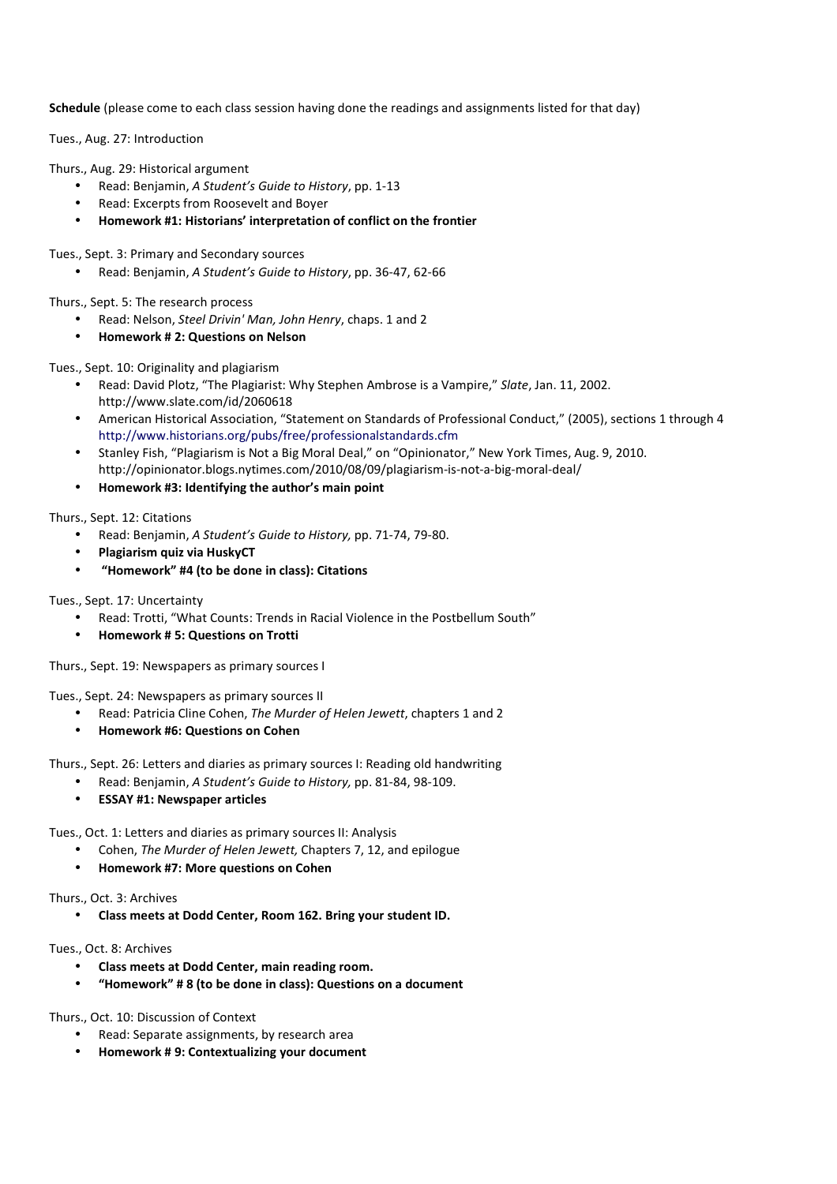**Schedule** (please come to each class session having done the readings and assignments listed for that day)

Tues., Aug. 27: Introduction

Thurs., Aug. 29: Historical argument

- Read: Benjamin, *A Student's Guide to History*, pp. 1-13
- Read: Excerpts from Roosevelt and Boyer
- **Homework #1: Historians' interpretation of conflict on the frontier**

Tues., Sept. 3: Primary and Secondary sources

• Read: Benjamin, *A Student's Guide to History*, pp. 36-47, 62-66

Thurs., Sept. 5: The research process

- Read: Nelson, *Steel Drivin' Man, John Henry*, chaps. 1 and 2
- **Homework # 2: Questions on Nelson**

Tues., Sept. 10: Originality and plagiarism

- Read: David Plotz, "The Plagiarist: Why Stephen Ambrose is a Vampire," *Slate*, Jan. 11, 2002. http://www.slate.com/id/2060618
- American Historical Association, "Statement on Standards of Professional Conduct," (2005), sections 1 through 4 http://www.historians.org/pubs/free/professionalstandards.cfm
- Stanley Fish, "Plagiarism is Not a Big Moral Deal," on "Opinionator," New York Times, Aug. 9, 2010. http://opinionator.blogs.nytimes.com/2010/08/09/plagiarism-is-not-a-big-moral-deal/
- **Homework #3: Identifying the author's main point**

Thurs., Sept. 12: Citations

- Read: Benjamin, *A Student's Guide to History,* pp. 71-74, 79-80.
- **Plagiarism quiz via HuskyCT**
- • **"Homework" #4 (to be done in class): Citations**

Tues., Sept. 17: Uncertainty

- Read: Trotti, "What Counts: Trends in Racial Violence in the Postbellum South"
- **Homework # 5: Questions on Trotti**

Thurs., Sept. 19: Newspapers as primary sources I

Tues., Sept. 24: Newspapers as primary sources II

- Read: Patricia Cline Cohen, *The Murder of Helen Jewett*, chapters 1 and 2
- **Homework #6: Questions on Cohen**

Thurs., Sept. 26: Letters and diaries as primary sources I: Reading old handwriting

- Read: Benjamin, *A Student's Guide to History,* pp. 81-84, 98-109.
- **ESSAY #1: Newspaper articles**

Tues., Oct. 1: Letters and diaries as primary sources II: Analysis

- Cohen, *The Murder of Helen Jewett,* Chapters 7, 12, and epilogue
- **Homework #7: More questions on Cohen**

Thurs., Oct. 3: Archives

• **Class meets at Dodd Center, Room 162. Bring your student ID.** 

Tues., Oct. 8: Archives

- **Class meets at Dodd Center, main reading room.**
- **"Homework" # 8 (to be done in class): Questions on a document**

Thurs., Oct. 10: Discussion of Context

- Read: Separate assignments, by research area
- **Homework # 9: Contextualizing your document**